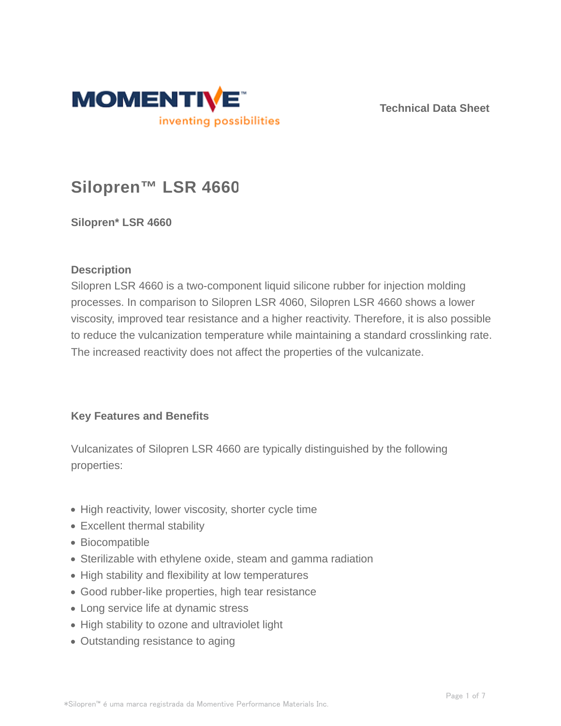

**Technical Data Sheet**

# **Silopren™ LSR 4660**

**Silopren\* LSR 4660**

## **Description**

Silopren LSR 4660 is a two-component liquid silicone rubber for injection molding processes. In comparison to Silopren LSR 4060, Silopren LSR 4660 shows a lower viscosity, improved tear resistance and a higher reactivity. Therefore, it is also possible to reduce the vulcanization temperature while maintaining a standard crosslinking rate. The increased reactivity does not affect the properties of the vulcanizate.

## **Key Features and Benefits**

Vulcanizates of Silopren LSR 4660 are typically distinguished by the following properties:

- High reactivity, lower viscosity, shorter cycle time
- Excellent thermal stability
- Biocompatible
- Sterilizable with ethylene oxide, steam and gamma radiation
- High stability and flexibility at low temperatures
- Good rubber-like properties, high tear resistance
- Long service life at dynamic stress
- High stability to ozone and ultraviolet light
- Outstanding resistance to aging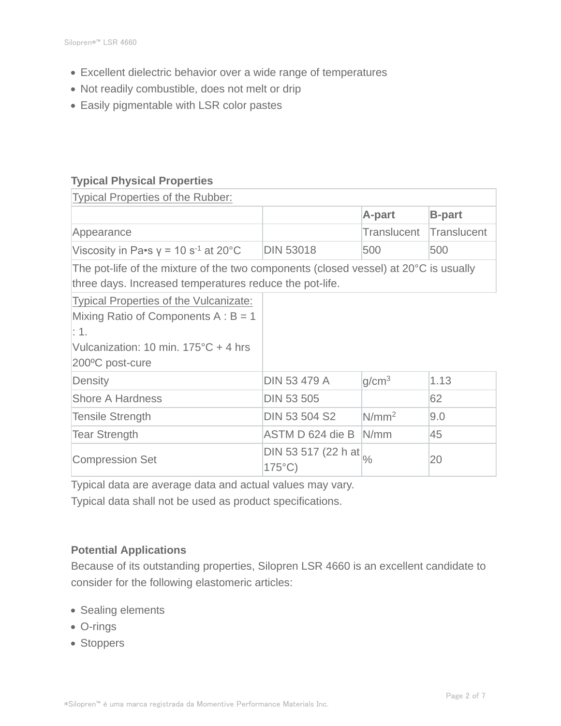- Excellent dielectric behavior over a wide range of temperatures
- Not readily combustible, does not melt or drip
- Easily pigmentable with LSR color pastes

## **Typical Physical Properties**

| Typical Properties of the Rubber:                                                                                                               |                                                        |                   |                    |  |  |  |
|-------------------------------------------------------------------------------------------------------------------------------------------------|--------------------------------------------------------|-------------------|--------------------|--|--|--|
|                                                                                                                                                 |                                                        | A-part            | <b>B-part</b>      |  |  |  |
| Appearance                                                                                                                                      |                                                        | Translucent       | <b>Translucent</b> |  |  |  |
| Viscosity in Pa•s $y = 10 s^{-1}$ at 20°C                                                                                                       | <b>DIN 53018</b>                                       | 500               | 500                |  |  |  |
| The pot-life of the mixture of the two components (closed vessel) at 20°C is usually<br>three days. Increased temperatures reduce the pot-life. |                                                        |                   |                    |  |  |  |
| <b>Typical Properties of the Vulcanizate:</b>                                                                                                   |                                                        |                   |                    |  |  |  |
| Mixing Ratio of Components $A : B = 1$<br>$\mathbf{.1}$                                                                                         |                                                        |                   |                    |  |  |  |
| Vulcanization: 10 min. 175°C + 4 hrs<br>200°C post-cure                                                                                         |                                                        |                   |                    |  |  |  |
| Density                                                                                                                                         | <b>DIN 53 479 A</b>                                    | g/cm <sup>3</sup> | 1.13               |  |  |  |
| <b>Shore A Hardness</b>                                                                                                                         | <b>DIN 53 505</b>                                      |                   | 62                 |  |  |  |
| <b>Tensile Strength</b>                                                                                                                         | <b>DIN 53 504 S2</b>                                   | N/mm <sup>2</sup> | 9.0                |  |  |  |
| <b>Tear Strength</b>                                                                                                                            | ASTM D 624 die B                                       | N/mm              | 45                 |  |  |  |
| <b>Compression Set</b>                                                                                                                          | DIN 53 517 (22 h at $\frac{1}{\%}$<br>$175^{\circ}$ C) |                   | 20                 |  |  |  |

Typical data are average data and actual values may vary.

Typical data shall not be used as product specifications.

## **Potential Applications**

Because of its outstanding properties, Silopren LSR 4660 is an excellent candidate to consider for the following elastomeric articles:

- Sealing elements
- O-rings
- Stoppers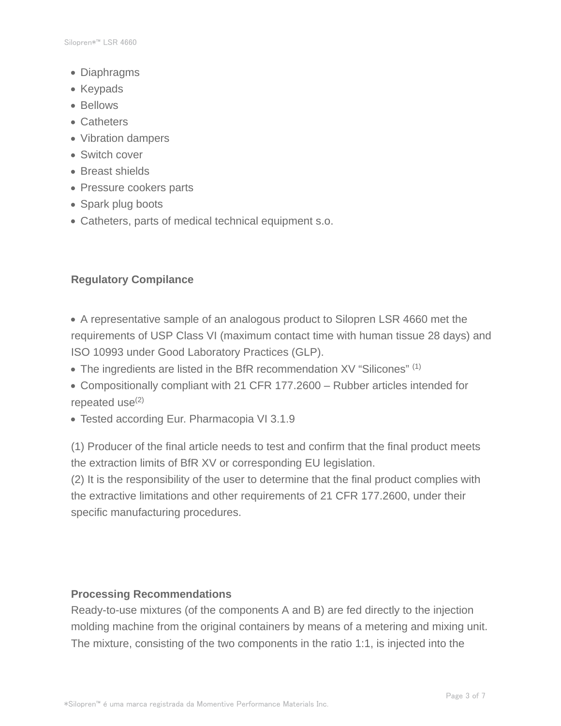- Diaphragms
- Keypads
- Bellows
- Catheters
- Vibration dampers
- Switch cover
- Breast shields
- Pressure cookers parts
- Spark plug boots
- Catheters, parts of medical technical equipment s.o.

## **Regulatory Compilance**

- A representative sample of an analogous product to Silopren LSR 4660 met the requirements of USP Class VI (maximum contact time with human tissue 28 days) and ISO 10993 under Good Laboratory Practices (GLP).
- The ingredients are listed in the BfR recommendation XV "Silicones" (1)
- Compositionally compliant with 21 CFR 177.2600 Rubber articles intended for repeated use $(2)$
- Tested according Eur. Pharmacopia VI 3.1.9

(1) Producer of the final article needs to test and confirm that the final product meets the extraction limits of BfR XV or corresponding EU legislation.

(2) It is the responsibility of the user to determine that the final product complies with the extractive limitations and other requirements of 21 CFR 177.2600, under their specific manufacturing procedures.

#### **Processing Recommendations**

Ready-to-use mixtures (of the components A and B) are fed directly to the injection molding machine from the original containers by means of a metering and mixing unit. The mixture, consisting of the two components in the ratio 1:1, is injected into the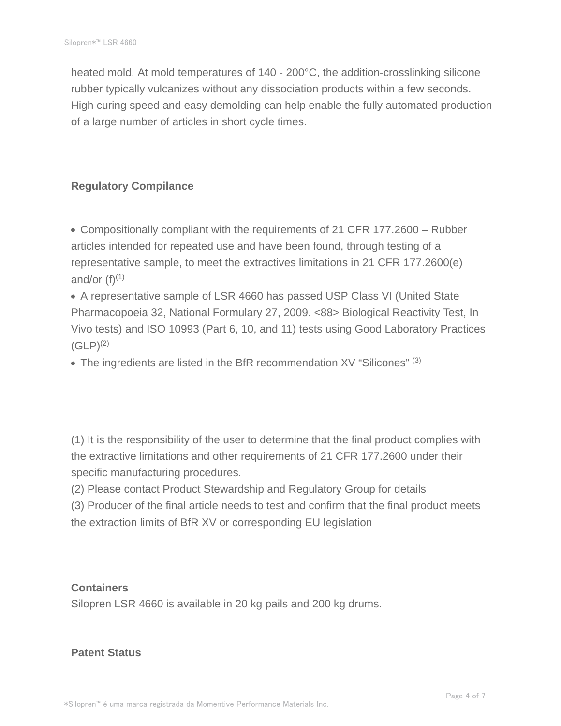heated mold. At mold temperatures of 140 - 200°C, the addition-crosslinking silicone rubber typically vulcanizes without any dissociation products within a few seconds. High curing speed and easy demolding can help enable the fully automated production of a large number of articles in short cycle times.

# **Regulatory Compilance**

Compositionally compliant with the requirements of 21 CFR 177.2600 – Rubber articles intended for repeated use and have been found, through testing of a representative sample, to meet the extractives limitations in 21 CFR 177.2600(e) and/or  $(f)^{(1)}$ 

A representative sample of LSR 4660 has passed USP Class VI (United State Pharmacopoeia 32, National Formulary 27, 2009. <88> Biological Reactivity Test, In Vivo tests) and ISO 10993 (Part 6, 10, and 11) tests using Good Laboratory Practices  $(GLP)^{(2)}$ 

 $\bullet$  The ingredients are listed in the BfR recommendation XV "Silicones" (3)

(1) It is the responsibility of the user to determine that the final product complies with the extractive limitations and other requirements of 21 CFR 177.2600 under their specific manufacturing procedures.

(2) Please contact Product Stewardship and Regulatory Group for details

(3) Producer of the final article needs to test and confirm that the final product meets the extraction limits of BfR XV or corresponding EU legislation

## **Containers**

Silopren LSR 4660 is available in 20 kg pails and 200 kg drums.

## **Patent Status**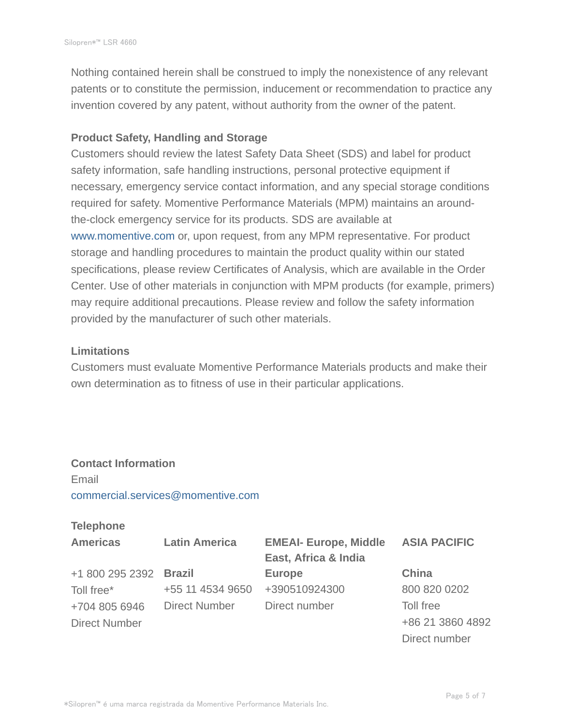Nothing contained herein shall be construed to imply the nonexistence of any relevant patents or to constitute the permission, inducement or recommendation to practice any invention covered by any patent, without authority from the owner of the patent.

#### **Product Safety, Handling and Storage**

Customers should review the latest Safety Data Sheet (SDS) and label for product safety information, safe handling instructions, personal protective equipment if necessary, emergency service contact information, and any special storage conditions required for safety. Momentive Performance Materials (MPM) maintains an aroundthe-clock emergency service for its products. SDS are available at www.momentive.com or, upon request, from any MPM representative. For product storage and handling procedures to maintain the product quality within our stated specifications, please review Certificates of Analysis, which are available in the Order Center. Use of other materials in conjunction with MPM products (for example, primers) may require additional precautions. Please review and follow the safety information provided by the manufacturer of such other materials.

#### **Limitations**

Customers must evaluate Momentive Performance Materials products and make their own determination as to fitness of use in their particular applications.

# **Contact Information** Email commercial.services@momentive.com

## **Telephone**

| <b>Americas</b>        | <b>Latin America</b> | <b>EMEAI- Europe, Middle</b> | <b>ASIA PACIFIC</b> |
|------------------------|----------------------|------------------------------|---------------------|
|                        |                      | East, Africa & India         |                     |
| +1 800 295 2392 Brazil |                      | <b>Europe</b>                | China               |
| Toll free*             | +55 11 4534 9650     | +390510924300                | 800 820 0202        |
| +704 805 6946          | <b>Direct Number</b> | Direct number                | Toll free           |
| <b>Direct Number</b>   |                      |                              | +86 21 3860 4892    |
|                        |                      |                              | Direct number       |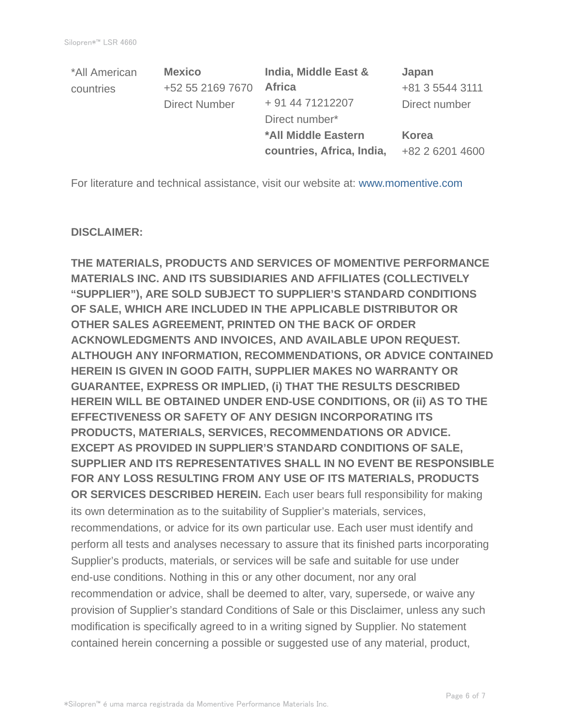| *All American | <b>Mexico</b>        | India, Middle East &      | Japan           |
|---------------|----------------------|---------------------------|-----------------|
| countries     | +52 55 2169 7670     | <b>Africa</b>             | +81 3 5544 3111 |
|               | <b>Direct Number</b> | + 91 44 71212207          | Direct number   |
|               |                      | Direct number*            |                 |
|               |                      | *All Middle Eastern       | Korea           |
|               |                      | countries, Africa, India, | +82 2 6201 4600 |

For literature and technical assistance, visit our website at: www.momentive.com

#### **DISCLAIMER:**

**THE MATERIALS, PRODUCTS AND SERVICES OF MOMENTIVE PERFORMANCE MATERIALS INC. AND ITS SUBSIDIARIES AND AFFILIATES (COLLECTIVELY "SUPPLIER"), ARE SOLD SUBJECT TO SUPPLIER'S STANDARD CONDITIONS OF SALE, WHICH ARE INCLUDED IN THE APPLICABLE DISTRIBUTOR OR OTHER SALES AGREEMENT, PRINTED ON THE BACK OF ORDER ACKNOWLEDGMENTS AND INVOICES, AND AVAILABLE UPON REQUEST. ALTHOUGH ANY INFORMATION, RECOMMENDATIONS, OR ADVICE CONTAINED HEREIN IS GIVEN IN GOOD FAITH, SUPPLIER MAKES NO WARRANTY OR GUARANTEE, EXPRESS OR IMPLIED, (i) THAT THE RESULTS DESCRIBED HEREIN WILL BE OBTAINED UNDER END-USE CONDITIONS, OR (ii) AS TO THE EFFECTIVENESS OR SAFETY OF ANY DESIGN INCORPORATING ITS PRODUCTS, MATERIALS, SERVICES, RECOMMENDATIONS OR ADVICE. EXCEPT AS PROVIDED IN SUPPLIER'S STANDARD CONDITIONS OF SALE, SUPPLIER AND ITS REPRESENTATIVES SHALL IN NO EVENT BE RESPONSIBLE FOR ANY LOSS RESULTING FROM ANY USE OF ITS MATERIALS, PRODUCTS OR SERVICES DESCRIBED HEREIN.** Each user bears full responsibility for making its own determination as to the suitability of Supplier's materials, services, recommendations, or advice for its own particular use. Each user must identify and perform all tests and analyses necessary to assure that its finished parts incorporating Supplier's products, materials, or services will be safe and suitable for use under end-use conditions. Nothing in this or any other document, nor any oral recommendation or advice, shall be deemed to alter, vary, supersede, or waive any provision of Supplier's standard Conditions of Sale or this Disclaimer, unless any such modification is specifically agreed to in a writing signed by Supplier. No statement contained herein concerning a possible or suggested use of any material, product,